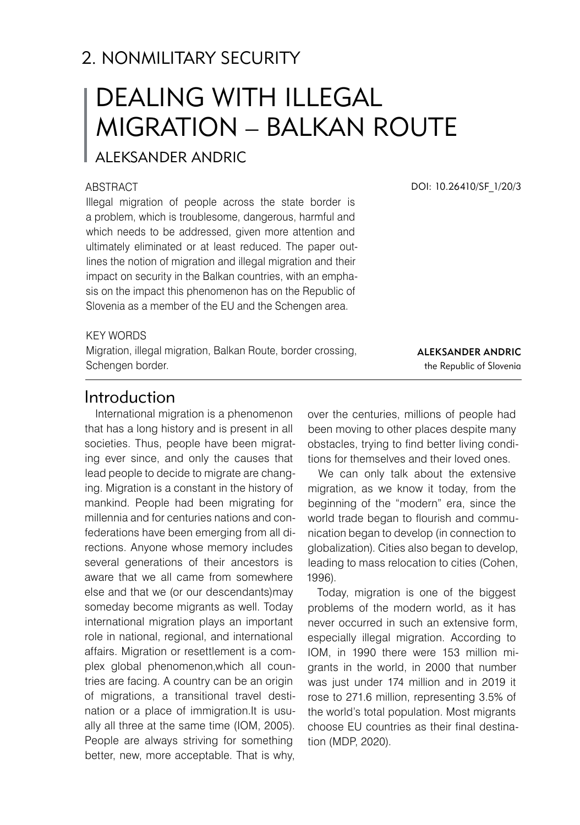# 2. NONMILITARY SECURITY

# DEALING WITH ILLEGAL MIGRATION – BALKAN ROUTE

# ALEKSANDER ANDRIC

#### **ABSTRACT**

Illegal migration of people across the state border is a problem, which is troublesome, dangerous, harmful and which needs to be addressed, given more attention and ultimately eliminated or at least reduced. The paper outlines the notion of migration and illegal migration and their impact on security in the Balkan countries, with an emphasis on the impact this phenomenon has on the Republic of Slovenia as a member of the EU and the Schengen area.

KEY WORDS

Migration, illegal migration, Balkan Route, border crossing, Schengen border.

DOI: 10.26410/SF\_1/20/3

Aleksander Andric the Republic of Slovenia

## Introduction

International migration is a phenomenon that has a long history and is present in all societies. Thus, people have been migrating ever since, and only the causes that lead people to decide to migrate are changing. Migration is a constant in the history of mankind. People had been migrating for millennia and for centuries nations and confederations have been emerging from all directions. Anyone whose memory includes several generations of their ancestors is aware that we all came from somewhere else and that we (or our descendants)may someday become migrants as well. Today international migration plays an important role in national, regional, and international affairs. Migration or resettlement is a complex global phenomenon,which all countries are facing. A country can be an origin of migrations, a transitional travel destination or a place of immigration.It is usually all three at the same time (IOM, 2005). People are always striving for something better, new, more acceptable. That is why,

over the centuries, millions of people had been moving to other places despite many obstacles, trying to find better living conditions for themselves and their loved ones.

We can only talk about the extensive migration, as we know it today, from the beginning of the "modern" era, since the world trade began to flourish and communication began to develop (in connection to globalization). Cities also began to develop, leading to mass relocation to cities (Cohen, 1996).

Today, migration is one of the biggest problems of the modern world, as it has never occurred in such an extensive form, especially illegal migration. According to IOM, in 1990 there were 153 million migrants in the world, in 2000 that number was just under 174 million and in 2019 it rose to 271.6 million, representing 3.5% of the world's total population. Most migrants choose EU countries as their final destination (MDP, 2020).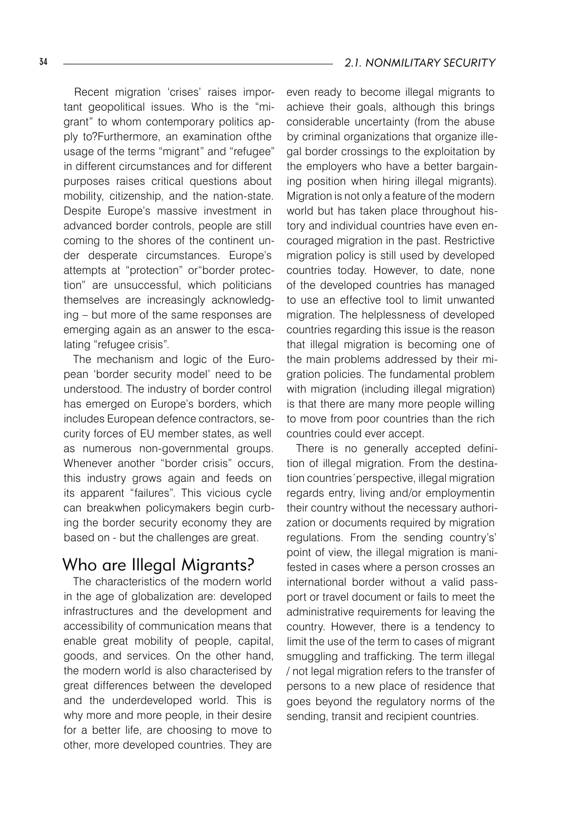Recent migration 'crises' raises important geopolitical issues. Who is the "migrant" to whom contemporary politics apply to?Furthermore, an examination ofthe usage of the terms "migrant" and "refugee" in different circumstances and for different purposes raises critical questions about mobility, citizenship, and the nation-state. Despite Europe's massive investment in advanced border controls, people are still coming to the shores of the continent under desperate circumstances. Europe's attempts at "protection" or"border protection" are unsuccessful, which politicians themselves are increasingly acknowledging – but more of the same responses are emerging again as an answer to the escalating "refugee crisis".

The mechanism and logic of the European 'border security model' need to be understood. The industry of border control has emerged on Europe's borders, which includes European defence contractors, security forces of EU member states, as well as numerous non-governmental groups. Whenever another "border crisis" occurs, this industry grows again and feeds on its apparent "failures". This vicious cycle can breakwhen policymakers begin curbing the border security economy they are based on - but the challenges are great.

## Who are Illegal Migrants?

The characteristics of the modern world in the age of globalization are: developed infrastructures and the development and accessibility of communication means that enable great mobility of people, capital, goods, and services. On the other hand, the modern world is also characterised by great differences between the developed and the underdeveloped world. This is why more and more people, in their desire for a better life, are choosing to move to other, more developed countries. They are

even ready to become illegal migrants to achieve their goals, although this brings considerable uncertainty (from the abuse by criminal organizations that organize illegal border crossings to the exploitation by the employers who have a better bargaining position when hiring illegal migrants). Migration is not only a feature of the modern world but has taken place throughout history and individual countries have even encouraged migration in the past. Restrictive migration policy is still used by developed countries today. However, to date, none of the developed countries has managed to use an effective tool to limit unwanted migration. The helplessness of developed countries regarding this issue is the reason that illegal migration is becoming one of the main problems addressed by their migration policies. The fundamental problem with migration (including illegal migration) is that there are many more people willing to move from poor countries than the rich countries could ever accept.

There is no generally accepted definition of illegal migration. From the destination countries´perspective, illegal migration regards entry, living and/or employmentin their country without the necessary authorization or documents required by migration regulations. From the sending country's' point of view, the illegal migration is manifested in cases where a person crosses an international border without a valid passport or travel document or fails to meet the administrative requirements for leaving the country. However, there is a tendency to limit the use of the term to cases of migrant smuggling and trafficking. The term illegal / not legal migration refers to the transfer of persons to a new place of residence that goes beyond the regulatory norms of the sending, transit and recipient countries.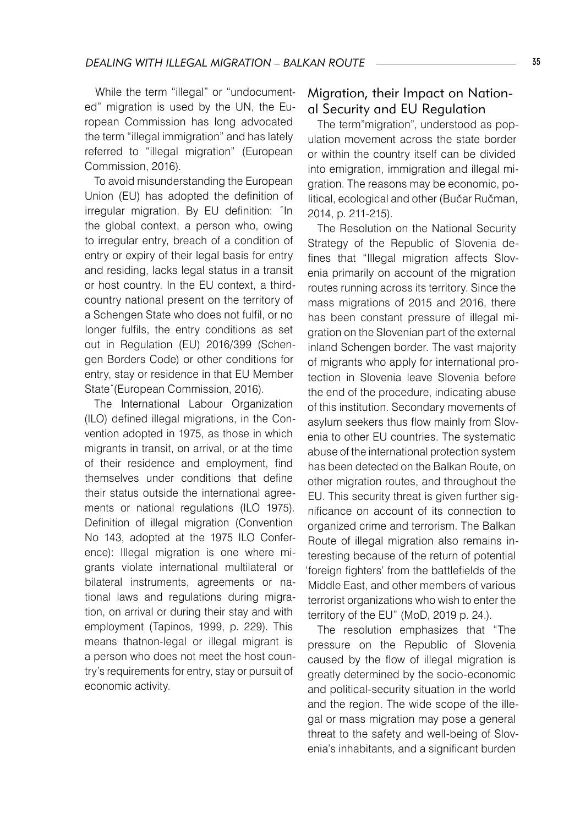While the term "illegal" or "undocumented" migration is used by the UN, the European Commission has long advocated the term "illegal immigration" and has lately referred to "illegal migration" (European Commission, 2016).

To avoid misunderstanding the European Union (EU) has adopted the definition of irregular migration. By EU definition: ˝In the global context, a person who, owing to irregular entry, breach of a condition of entry or expiry of their legal basis for entry and residing, lacks legal status in a transit or host country. In the EU context, a thirdcountry national present on the territory of a Schengen State who does not fulfil, or no longer fulfils, the entry conditions as set out in Regulation (EU) 2016/399 (Schengen Borders Code) or other conditions for entry, stay or residence in that EU Member State˝(European Commission, 2016).

The International Labour Organization (ILO) defined illegal migrations, in the Convention adopted in 1975, as those in which migrants in transit, on arrival, or at the time of their residence and employment, find themselves under conditions that define their status outside the international agreements or national regulations (ILO 1975). Definition of illegal migration (Convention No 143, adopted at the 1975 ILO Conference): Illegal migration is one where migrants violate international multilateral or bilateral instruments, agreements or national laws and regulations during migration, on arrival or during their stay and with employment (Tapinos, 1999, p. 229). This means thatnon-legal or illegal migrant is a person who does not meet the host country's requirements for entry, stay or pursuit of economic activity.

#### Migration, their Impact on National Security and EU Regulation

The term"migration", understood as population movement across the state border or within the country itself can be divided into emigration, immigration and illegal migration. The reasons may be economic, political, ecological and other (Bučar Ručman, 2014, p. 211-215).

The Resolution on the National Security Strategy of the Republic of Slovenia defines that "Illegal migration affects Slovenia primarily on account of the migration routes running across its territory. Since the mass migrations of 2015 and 2016, there has been constant pressure of illegal migration on the Slovenian part of the external inland Schengen border. The vast majority of migrants who apply for international protection in Slovenia leave Slovenia before the end of the procedure, indicating abuse of this institution. Secondary movements of asylum seekers thus flow mainly from Slovenia to other EU countries. The systematic abuse of the international protection system has been detected on the Balkan Route, on other migration routes, and throughout the EU. This security threat is given further significance on account of its connection to organized crime and terrorism. The Balkan Route of illegal migration also remains interesting because of the return of potential 'foreign fighters' from the battlefields of the Middle East, and other members of various terrorist organizations who wish to enter the territory of the EU" (MoD, 2019 p. 24.).

The resolution emphasizes that "The pressure on the Republic of Slovenia caused by the flow of illegal migration is greatly determined by the socio-economic and political-security situation in the world and the region. The wide scope of the illegal or mass migration may pose a general threat to the safety and well-being of Slovenia's inhabitants, and a significant burden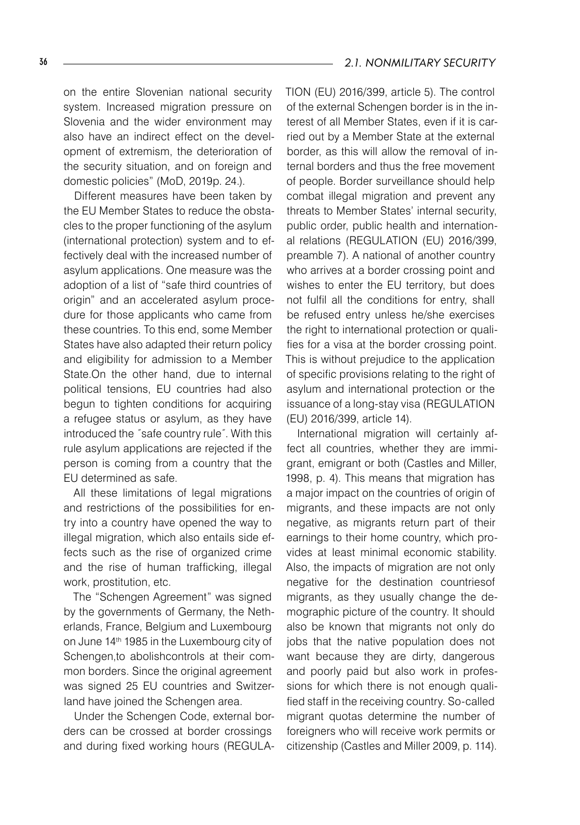on the entire Slovenian national security system. Increased migration pressure on Slovenia and the wider environment may also have an indirect effect on the development of extremism, the deterioration of the security situation, and on foreign and domestic policies" (MoD, 2019p. 24.).

Different measures have been taken by the EU Member States to reduce the obstacles to the proper functioning of the asylum (international protection) system and to effectively deal with the increased number of asylum applications. One measure was the adoption of a list of "safe third countries of origin" and an accelerated asylum procedure for those applicants who came from these countries. To this end, some Member States have also adapted their return policy and eligibility for admission to a Member State.On the other hand, due to internal political tensions, EU countries had also begun to tighten conditions for acquiring a refugee status or asylum, as they have introduced the ˝safe country rule˝. With this rule asylum applications are rejected if the person is coming from a country that the EU determined as safe.

All these limitations of legal migrations and restrictions of the possibilities for entry into a country have opened the way to illegal migration, which also entails side effects such as the rise of organized crime and the rise of human trafficking, illegal work, prostitution, etc.

The "Schengen Agreement" was signed by the governments of Germany, the Netherlands, France, Belgium and Luxembourg on June 14<sup>th</sup> 1985 in the Luxembourg city of Schengen,to abolishcontrols at their common borders. Since the original agreement was signed 25 EU countries and Switzerland have joined the Schengen area.

Under the Schengen Code, external borders can be crossed at border crossings and during fixed working hours (REGULA- TION (EU) 2016/399, article 5). The control of the external Schengen border is in the interest of all Member States, even if it is carried out by a Member State at the external border, as this will allow the removal of internal borders and thus the free movement of people. Border surveillance should help combat illegal migration and prevent any threats to Member States' internal security, public order, public health and international relations (REGULATION (EU) 2016/399, preamble 7). A national of another country who arrives at a border crossing point and wishes to enter the EU territory, but does not fulfil all the conditions for entry, shall be refused entry unless he/she exercises the right to international protection or qualifies for a visa at the border crossing point. This is without prejudice to the application of specific provisions relating to the right of asylum and international protection or the issuance of a long-stay visa (REGULATION (EU) 2016/399, article 14).

International migration will certainly affect all countries, whether they are immigrant, emigrant or both (Castles and Miller, 1998, p. 4). This means that migration has a major impact on the countries of origin of migrants, and these impacts are not only negative, as migrants return part of their earnings to their home country, which provides at least minimal economic stability. Also, the impacts of migration are not only negative for the destination countriesof migrants, as they usually change the demographic picture of the country. It should also be known that migrants not only do jobs that the native population does not want because they are dirty, dangerous and poorly paid but also work in professions for which there is not enough qualified staff in the receiving country. So-called migrant quotas determine the number of foreigners who will receive work permits or citizenship (Castles and Miller 2009, p. 114).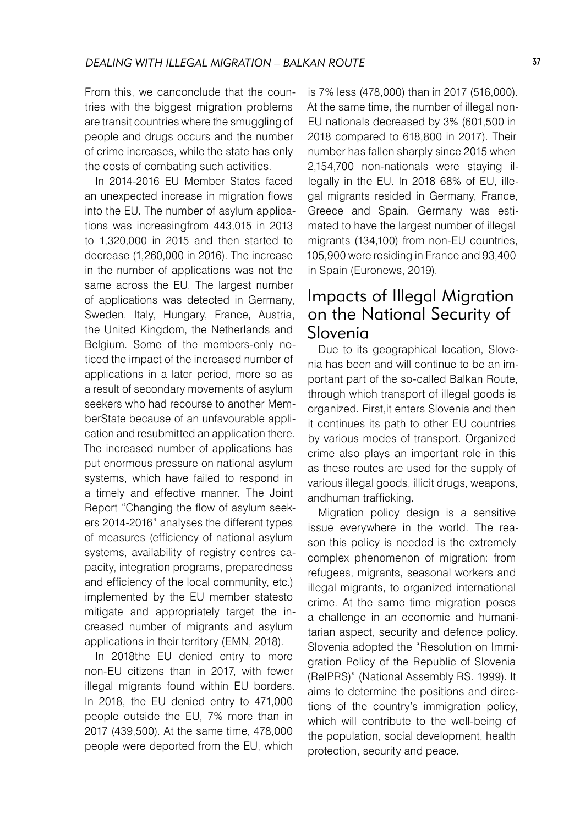From this, we canconclude that the countries with the biggest migration problems are transit countries where the smuggling of people and drugs occurs and the number of crime increases, while the state has only the costs of combating such activities.

In 2014-2016 EU Member States faced an unexpected increase in migration flows into the EU. The number of asylum applications was increasingfrom 443,015 in 2013 to 1,320,000 in 2015 and then started to decrease (1,260,000 in 2016). The increase in the number of applications was not the same across the EU. The largest number of applications was detected in Germany, Sweden, Italy, Hungary, France, Austria, the United Kingdom, the Netherlands and Belgium. Some of the members-only noticed the impact of the increased number of applications in a later period, more so as a result of secondary movements of asylum seekers who had recourse to another MemberState because of an unfavourable application and resubmitted an application there. The increased number of applications has put enormous pressure on national asylum systems, which have failed to respond in a timely and effective manner. The Joint Report "Changing the flow of asylum seekers 2014-2016" analyses the different types of measures (efficiency of national asylum systems, availability of registry centres capacity, integration programs, preparedness and efficiency of the local community, etc.) implemented by the EU member statesto mitigate and appropriately target the increased number of migrants and asylum applications in their territory (EMN, 2018).

In 2018the EU denied entry to more non-EU citizens than in 2017, with fewer illegal migrants found within EU borders. In 2018, the EU denied entry to 471,000 people outside the EU, 7% more than in 2017 (439,500). At the same time, 478,000 people were deported from the EU, which

is 7% less (478,000) than in 2017 (516,000). At the same time, the number of illegal non-EU nationals decreased by 3% (601,500 in 2018 compared to 618,800 in 2017). Their number has fallen sharply since 2015 when 2,154,700 non-nationals were staying illegally in the EU. In 2018 68% of EU, illegal migrants resided in Germany, France, Greece and Spain. Germany was estimated to have the largest number of illegal migrants (134,100) from non-EU countries, 105,900 were residing in France and 93,400 in Spain (Euronews, 2019).

# Impacts of Illegal Migration on the National Security of Slovenia

Due to its geographical location, Slovenia has been and will continue to be an important part of the so-called Balkan Route, through which transport of illegal goods is organized. First,it enters Slovenia and then it continues its path to other EU countries by various modes of transport. Organized crime also plays an important role in this as these routes are used for the supply of various illegal goods, illicit drugs, weapons, andhuman trafficking.

Migration policy design is a sensitive issue everywhere in the world. The reason this policy is needed is the extremely complex phenomenon of migration: from refugees, migrants, seasonal workers and illegal migrants, to organized international crime. At the same time migration poses a challenge in an economic and humanitarian aspect, security and defence policy. Slovenia adopted the "Resolution on Immigration Policy of the Republic of Slovenia (ReIPRS)" (National Assembly RS. 1999). It aims to determine the positions and directions of the country's immigration policy, which will contribute to the well-being of the population, social development, health protection, security and peace.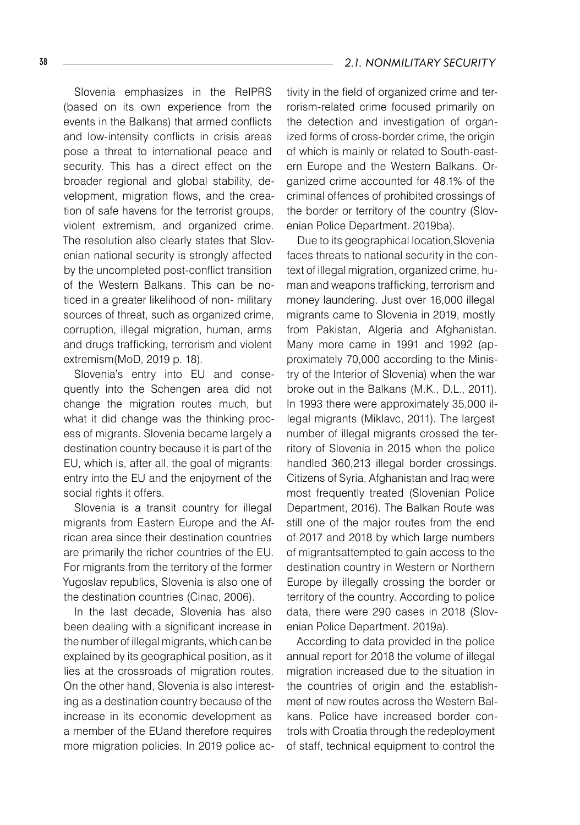Slovenia emphasizes in the ReIPRS (based on its own experience from the events in the Balkans) that armed conflicts and low-intensity conflicts in crisis areas pose a threat to international peace and security. This has a direct effect on the broader regional and global stability, development, migration flows, and the creation of safe havens for the terrorist groups, violent extremism, and organized crime. The resolution also clearly states that Slovenian national security is strongly affected by the uncompleted post-conflict transition of the Western Balkans. This can be noticed in a greater likelihood of non- military sources of threat, such as organized crime, corruption, illegal migration, human, arms and drugs trafficking, terrorism and violent extremism(MoD, 2019 p. 18).

Slovenia's entry into EU and consequently into the Schengen area did not change the migration routes much, but what it did change was the thinking process of migrants. Slovenia became largely a destination country because it is part of the EU, which is, after all, the goal of migrants: entry into the EU and the enjoyment of the social rights it offers.

Slovenia is a transit country for illegal migrants from Eastern Europe and the African area since their destination countries are primarily the richer countries of the EU. For migrants from the territory of the former Yugoslav republics, Slovenia is also one of the destination countries (Cinac, 2006).

In the last decade, Slovenia has also been dealing with a significant increase in the number of illegal migrants, which can be explained by its geographical position, as it lies at the crossroads of migration routes. On the other hand, Slovenia is also interesting as a destination country because of the increase in its economic development as a member of the EUand therefore requires more migration policies. In 2019 police activity in the field of organized crime and terrorism-related crime focused primarily on the detection and investigation of organized forms of cross-border crime, the origin of which is mainly or related to South-eastern Europe and the Western Balkans. Organized crime accounted for 48.1% of the criminal offences of prohibited crossings of the border or territory of the country (Slovenian Police Department. 2019ba).

Due to its geographical location,Slovenia faces threats to national security in the context of illegal migration, organized crime, human and weapons trafficking, terrorism and money laundering. Just over 16,000 illegal migrants came to Slovenia in 2019, mostly from Pakistan, Algeria and Afghanistan. Many more came in 1991 and 1992 (approximately 70,000 according to the Ministry of the Interior of Slovenia) when the war broke out in the Balkans (M.K., D.L., 2011). In 1993 there were approximately 35,000 illegal migrants (Miklavc, 2011). The largest number of illegal migrants crossed the territory of Slovenia in 2015 when the police handled 360,213 illegal border crossings. Citizens of Syria, Afghanistan and Iraq were most frequently treated (Slovenian Police Department, 2016). The Balkan Route was still one of the major routes from the end of 2017 and 2018 by which large numbers of migrantsattempted to gain access to the destination country in Western or Northern Europe by illegally crossing the border or territory of the country. According to police data, there were 290 cases in 2018 (Slovenian Police Department. 2019a).

According to data provided in the police annual report for 2018 the volume of illegal migration increased due to the situation in the countries of origin and the establishment of new routes across the Western Balkans. Police have increased border controls with Croatia through the redeployment of staff, technical equipment to control the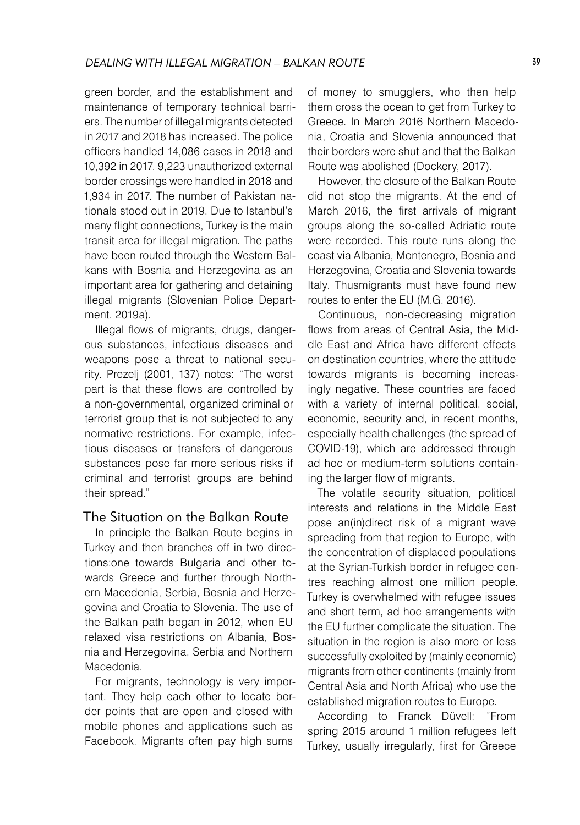green border, and the establishment and maintenance of temporary technical barriers. The number of illegal migrants detected in 2017 and 2018 has increased. The police officers handled 14,086 cases in 2018 and 10,392 in 2017. 9,223 unauthorized external border crossings were handled in 2018 and 1,934 in 2017. The number of Pakistan nationals stood out in 2019. Due to Istanbul's many flight connections, Turkey is the main transit area for illegal migration. The paths have been routed through the Western Balkans with Bosnia and Herzegovina as an important area for gathering and detaining illegal migrants (Slovenian Police Department. 2019a).

Illegal flows of migrants, drugs, dangerous substances, infectious diseases and weapons pose a threat to national security. Prezelj (2001, 137) notes: "The worst part is that these flows are controlled by a non-governmental, organized criminal or terrorist group that is not subjected to any normative restrictions. For example, infectious diseases or transfers of dangerous substances pose far more serious risks if criminal and terrorist groups are behind their spread."

#### The Situation on the Balkan Route

In principle the Balkan Route begins in Turkey and then branches off in two directions:one towards Bulgaria and other towards Greece and further through Northern Macedonia, Serbia, Bosnia and Herzegovina and Croatia to Slovenia. The use of the Balkan path began in 2012, when EU relaxed visa restrictions on Albania, Bosnia and Herzegovina, Serbia and Northern Macedonia.

For migrants, technology is very important. They help each other to locate border points that are open and closed with mobile phones and applications such as Facebook. Migrants often pay high sums

of money to smugglers, who then help them cross the ocean to get from Turkey to Greece. In March 2016 Northern Macedonia, Croatia and Slovenia announced that their borders were shut and that the Balkan Route was abolished (Dockery, 2017).

However, the closure of the Balkan Route did not stop the migrants. At the end of March 2016, the first arrivals of migrant groups along the so-called Adriatic route were recorded. This route runs along the coast via Albania, Montenegro, Bosnia and Herzegovina, Croatia and Slovenia towards Italy. Thusmigrants must have found new routes to enter the EU (M.G. 2016).

Continuous, non-decreasing migration flows from areas of Central Asia, the Middle East and Africa have different effects on destination countries, where the attitude towards migrants is becoming increasingly negative. These countries are faced with a variety of internal political, social, economic, security and, in recent months, especially health challenges (the spread of COVID-19), which are addressed through ad hoc or medium-term solutions containing the larger flow of migrants.

The volatile security situation, political interests and relations in the Middle East pose an(in)direct risk of a migrant wave spreading from that region to Europe, with the concentration of displaced populations at the Syrian-Turkish border in refugee centres reaching almost one million people. Turkey is overwhelmed with refugee issues and short term, ad hoc arrangements with the EU further complicate the situation. The situation in the region is also more or less successfully exploited by (mainly economic) migrants from other continents (mainly from Central Asia and North Africa) who use the established migration routes to Europe.

According to Franck Düvell: ˝From spring 2015 around 1 million refugees left Turkey, usually irregularly, first for Greece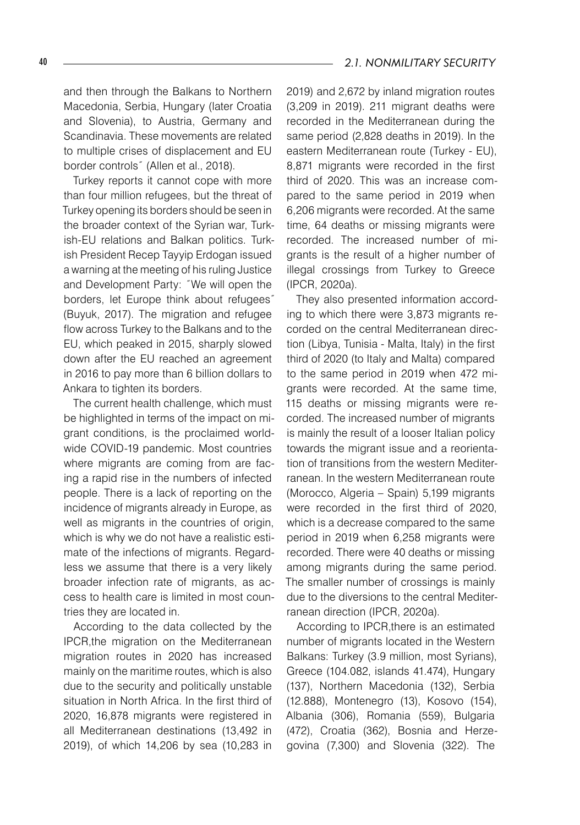and then through the Balkans to Northern Macedonia, Serbia, Hungary (later Croatia and Slovenia), to Austria, Germany and Scandinavia. These movements are related to multiple crises of displacement and EU border controls˝ (Allen et al., 2018).

Turkey reports it cannot cope with more than four million refugees, but the threat of Turkey opening its borders should be seen in the broader context of the Syrian war, Turkish-EU relations and Balkan politics. Turkish President Recep Tayyip Erdogan issued a warning at the meeting of his ruling Justice and Development Party: ˝We will open the borders, let Europe think about refugees˝ (Buyuk, 2017). The migration and refugee flow across Turkey to the Balkans and to the EU, which peaked in 2015, sharply slowed down after the EU reached an agreement in 2016 to pay more than 6 billion dollars to Ankara to tighten its borders.

The current health challenge, which must be highlighted in terms of the impact on migrant conditions, is the proclaimed worldwide COVID-19 pandemic. Most countries where migrants are coming from are facing a rapid rise in the numbers of infected people. There is a lack of reporting on the incidence of migrants already in Europe, as well as migrants in the countries of origin, which is why we do not have a realistic estimate of the infections of migrants. Regardless we assume that there is a very likely broader infection rate of migrants, as access to health care is limited in most countries they are located in.

According to the data collected by the IPCR,the migration on the Mediterranean migration routes in 2020 has increased mainly on the maritime routes, which is also due to the security and politically unstable situation in North Africa. In the first third of 2020, 16,878 migrants were registered in all Mediterranean destinations (13,492 in 2019), of which 14,206 by sea (10,283 in

2019) and 2,672 by inland migration routes (3,209 in 2019). 211 migrant deaths were recorded in the Mediterranean during the same period (2,828 deaths in 2019). In the eastern Mediterranean route (Turkey - EU), 8,871 migrants were recorded in the first third of 2020. This was an increase compared to the same period in 2019 when 6,206 migrants were recorded. At the same time, 64 deaths or missing migrants were recorded. The increased number of migrants is the result of a higher number of illegal crossings from Turkey to Greece (IPCR, 2020a).

They also presented information according to which there were 3,873 migrants recorded on the central Mediterranean direction (Libya, Tunisia - Malta, Italy) in the first third of 2020 (to Italy and Malta) compared to the same period in 2019 when 472 migrants were recorded. At the same time, 115 deaths or missing migrants were recorded. The increased number of migrants is mainly the result of a looser Italian policy towards the migrant issue and a reorientation of transitions from the western Mediterranean. In the western Mediterranean route (Morocco, Algeria – Spain) 5,199 migrants were recorded in the first third of 2020, which is a decrease compared to the same period in 2019 when 6,258 migrants were recorded. There were 40 deaths or missing among migrants during the same period. The smaller number of crossings is mainly due to the diversions to the central Mediterranean direction (IPCR, 2020a).

According to IPCR,there is an estimated number of migrants located in the Western Balkans: Turkey (3.9 million, most Syrians), Greece (104.082, islands 41.474), Hungary (137), Northern Macedonia (132), Serbia (12.888), Montenegro (13), Kosovo (154), Albania (306), Romania (559), Bulgaria (472), Croatia (362), Bosnia and Herzegovina (7,300) and Slovenia (322). The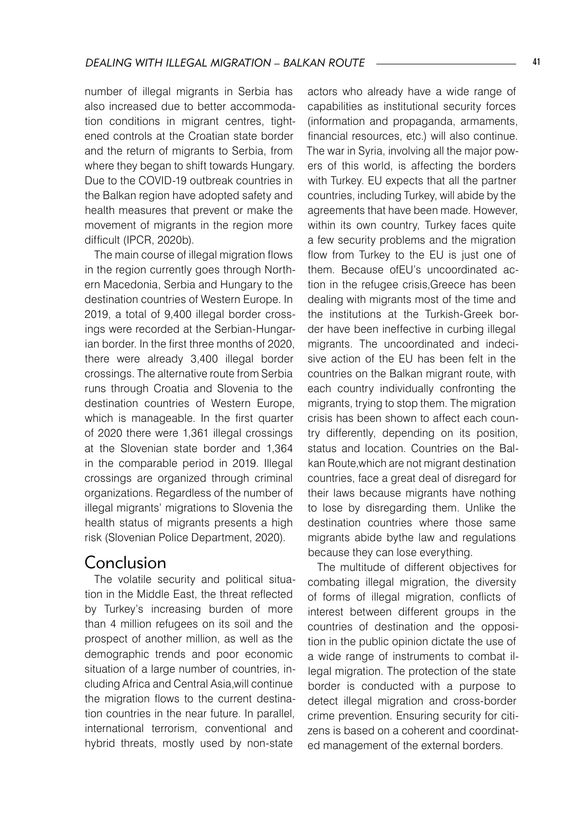number of illegal migrants in Serbia has also increased due to better accommodation conditions in migrant centres, tightened controls at the Croatian state border and the return of migrants to Serbia, from where they began to shift towards Hungary. Due to the COVID-19 outbreak countries in the Balkan region have adopted safety and health measures that prevent or make the movement of migrants in the region more difficult (IPCR, 2020b).

The main course of illegal migration flows in the region currently goes through Northern Macedonia, Serbia and Hungary to the destination countries of Western Europe. In 2019, a total of 9,400 illegal border crossings were recorded at the Serbian-Hungarian border. In the first three months of 2020, there were already 3,400 illegal border crossings. The alternative route from Serbia runs through Croatia and Slovenia to the destination countries of Western Europe, which is manageable. In the first quarter of 2020 there were 1,361 illegal crossings at the Slovenian state border and 1,364 in the comparable period in 2019. Illegal crossings are organized through criminal organizations. Regardless of the number of illegal migrants' migrations to Slovenia the health status of migrants presents a high risk (Slovenian Police Department, 2020).

## Conclusion

The volatile security and political situation in the Middle East, the threat reflected by Turkey's increasing burden of more than 4 million refugees on its soil and the prospect of another million, as well as the demographic trends and poor economic situation of a large number of countries, including Africa and Central Asia,will continue the migration flows to the current destination countries in the near future. In parallel, international terrorism, conventional and hybrid threats, mostly used by non-state

actors who already have a wide range of capabilities as institutional security forces (information and propaganda, armaments, financial resources, etc.) will also continue. The war in Syria, involving all the major powers of this world, is affecting the borders with Turkey. EU expects that all the partner countries, including Turkey, will abide by the agreements that have been made. However, within its own country, Turkey faces quite a few security problems and the migration flow from Turkey to the EU is just one of them. Because ofEU's uncoordinated action in the refugee crisis,Greece has been dealing with migrants most of the time and the institutions at the Turkish-Greek border have been ineffective in curbing illegal migrants. The uncoordinated and indecisive action of the EU has been felt in the countries on the Balkan migrant route, with each country individually confronting the migrants, trying to stop them. The migration crisis has been shown to affect each country differently, depending on its position, status and location. Countries on the Balkan Route,which are not migrant destination countries, face a great deal of disregard for their laws because migrants have nothing to lose by disregarding them. Unlike the destination countries where those same migrants abide bythe law and regulations because they can lose everything.

The multitude of different objectives for combating illegal migration, the diversity of forms of illegal migration, conflicts of interest between different groups in the countries of destination and the opposition in the public opinion dictate the use of a wide range of instruments to combat illegal migration. The protection of the state border is conducted with a purpose to detect illegal migration and cross-border crime prevention. Ensuring security for citizens is based on a coherent and coordinated management of the external borders.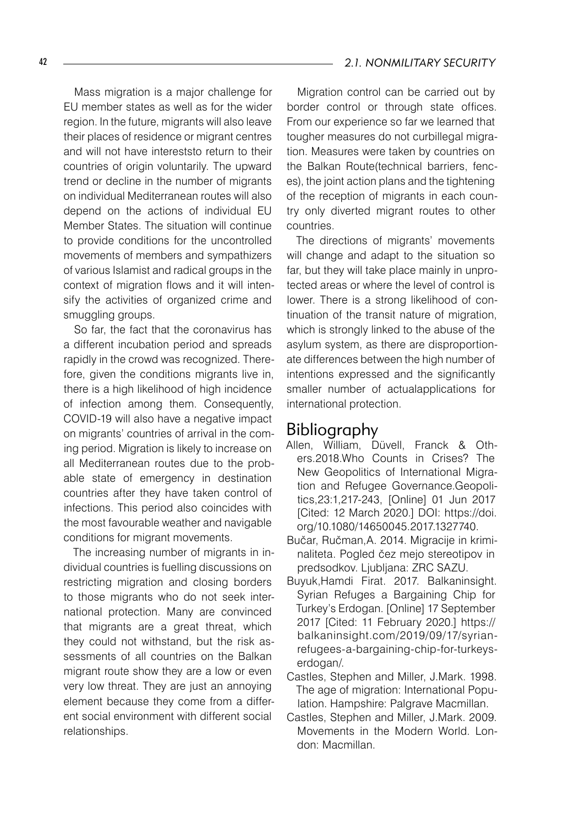Mass migration is a major challenge for EU member states as well as for the wider region. In the future, migrants will also leave their places of residence or migrant centres and will not have intereststo return to their countries of origin voluntarily. The upward trend or decline in the number of migrants on individual Mediterranean routes will also depend on the actions of individual EU Member States. The situation will continue to provide conditions for the uncontrolled movements of members and sympathizers of various Islamist and radical groups in the context of migration flows and it will intensify the activities of organized crime and smuggling groups.

So far, the fact that the coronavirus has a different incubation period and spreads rapidly in the crowd was recognized. Therefore, given the conditions migrants live in, there is a high likelihood of high incidence of infection among them. Consequently, COVID-19 will also have a negative impact on migrants' countries of arrival in the coming period. Migration is likely to increase on all Mediterranean routes due to the probable state of emergency in destination countries after they have taken control of infections. This period also coincides with the most favourable weather and navigable conditions for migrant movements.

The increasing number of migrants in individual countries is fuelling discussions on restricting migration and closing borders to those migrants who do not seek international protection. Many are convinced that migrants are a great threat, which they could not withstand, but the risk assessments of all countries on the Balkan migrant route show they are a low or even very low threat. They are just an annoying element because they come from a different social environment with different social relationships.

Migration control can be carried out by border control or through state offices. From our experience so far we learned that tougher measures do not curbillegal migration. Measures were taken by countries on the Balkan Route(technical barriers, fences), the joint action plans and the tightening of the reception of migrants in each country only diverted migrant routes to other countries.

The directions of migrants' movements will change and adapt to the situation so far, but they will take place mainly in unprotected areas or where the level of control is lower. There is a strong likelihood of continuation of the transit nature of migration, which is strongly linked to the abuse of the asylum system, as there are disproportionate differences between the high number of intentions expressed and the significantly smaller number of actualapplications for international protection.

#### Bibliography

- Allen, William, Düvell, Franck & Others.2018.Who Counts in Crises? The New Geopolitics of International Migration and Refugee Governance.Geopolitics,23:1,217-243, [Online] 01 Jun 2017 [Cited: 12 March 2020.] DOI: https://doi. org/10.1080/14650045.2017.1327740.
- Bučar, Ručman,A. 2014. Migracije in kriminaliteta. Pogled čez mejo stereotipov in predsodkov. Ljubljana: ZRC SAZU.
- Buyuk,Hamdi Firat. 2017. Balkaninsight. Syrian Refuges a Bargaining Chip for Turkey's Erdogan. [Online] 17 September 2017 [Cited: 11 February 2020.] https:// balkaninsight.com/2019/09/17/syrianrefugees-a-bargaining-chip-for-turkeyserdogan/.
- Castles, Stephen and Miller, J.Mark. 1998. The age of migration: International Population. Hampshire: Palgrave Macmillan.
- Castles, Stephen and Miller, J.Mark. 2009. Movements in the Modern World. London: Macmillan.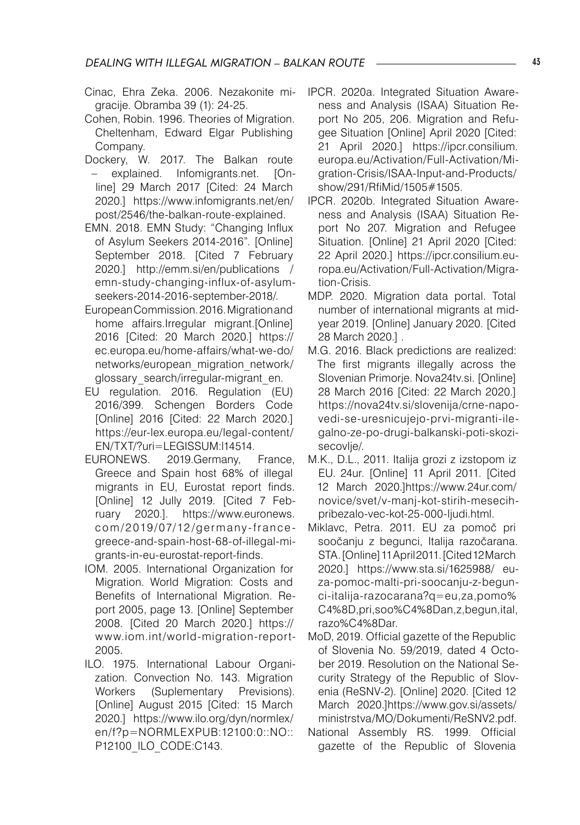- Cinac, Ehra Zeka. 2006. Nezakonite migracije. Obramba 39 (1): 24-25.
- Cohen, Robin. 1996. Theories of Migration. Cheltenham, Edward Elgar Publishing Company.
- Dockery, W. 2017. The Balkan route – explained. Infomigrants.net. [Online] 29 March 2017 [Cited: 24 March 2020.] https://www.infomigrants.net/en/ post/2546/the-balkan-route-explained.
- EMN. 2018. EMN Study: "Changing Influx of Asylum Seekers 2014-2016". [Online] September 2018. [Cited 7 February 2020.] http://emm.si/en/publications / emn-study-changing-influx-of-asylumseekers-2014-2016-september-2018/.
- European Commission. 2016. Migration and home affairs.Irregular migrant.[Online] 2016 [Cited: 20 March 2020.] https:// ec.europa.eu/home-affairs/what-we-do/ networks/european\_migration\_network/ glossary\_search/irregular-migrant\_en.
- EU regulation. 2016. Regulation (EU) 2016/399. Schengen Borders Code [Online] 2016 [Cited: 22 March 2020.] https://eur-lex.europa.eu/legal-content/ EN/TXT/?uri=LEGISSUM:l14514.
- EURONEWS. 2019.Germany, France, Greece and Spain host 68% of illegal migrants in EU, Eurostat report finds. [Online] 12 Jully 2019. [Cited 7 February 2020.]. https://www.euronews. com/2019/07/12/germany-francegreece-and-spain-host-68-of-illegal-migrants-in-eu-eurostat-report-finds.
- IOM. 2005. International Organization for Migration. World Migration: Costs and Benefits of International Migration. Report 2005, page 13. [Online] September 2008. [Cited 20 March 2020.] https:// www.iom.int/world-migration-report-2005.
- ILO. 1975. International Labour Organization. Convection No. 143. Migration Workers (Suplementary Previsions). [Online] August 2015 [Cited: 15 March 2020.] https://www.ilo.org/dyn/normlex/ en/f?p=NORMLEXPUB:12100:0::NO:: P12100\_ILO\_CODE:C143.
- IPCR. 2020a. Integrated Situation Awareness and Analysis (ISAA) Situation Report No 205, 206. Migration and Refugee Situation [Online] April 2020 [Cited: 21 April 2020.] https://ipcr.consilium. europa.eu/Activation/Full-Activation/Migration-Crisis/ISAA-Input-and-Products/ show/291/RfiMid/1505#1505.
- IPCR. 2020b. Integrated Situation Awareness and Analysis (ISAA) Situation Report No 207. Migration and Refugee Situation. [Online] 21 April 2020 [Cited: 22 April 2020.] https://ipcr.consilium.europa.eu/Activation/Full-Activation/Migration-Crisis.
- MDP. 2020. Migration data portal. Total number of international migrants at midyear 2019. [Online] January 2020. [Cited 28 March 2020.] .
- M.G. 2016. Black predictions are realized: The first migrants illegally across the Slovenian Primorie. Nova24tv.si. [Online] 28 March 2016 [Cited: 22 March 2020.] https://nova24tv.si/slovenija/crne-napovedi-se-uresnicujejo-prvi-migranti-ilegalno-ze-po-drugi-balkanski-poti-skozisecovlie/.
- M.K., D.L., 2011. Italija grozi z izstopom iz EU. 24ur. [Online] 11 April 2011. [Cited 12 March 2020.]https://www.24ur.com/ novice/svet/v-manj-kot-stirih-mesecihpribezalo-vec-kot-25-000-ljudi.html.
- Miklavc, Petra. 2011. EU za pomoč pri soočanju z begunci, Italija razočarana. STA. [Online] 11 April 2011. [Cited 12 March 2020.] https://www.sta.si/1625988/ euza-pomoc-malti-pri-soocanju-z-begunci-italija-razocarana?q=eu,za,pomo% C4%8D,pri,soo%C4%8Dan,z,begun,ital, razo%C4%8Dar.
- MoD, 2019. Official gazette of the Republic of Slovenia No. 59/2019, dated 4 October 2019. Resolution on the National Security Strategy of the Republic of Slovenia (ReSNV-2). [Online] 2020. [Cited 12 March 2020.]https://www.gov.si/assets/ ministrstva/MO/Dokumenti/ReSNV2.pdf.
- National Assembly RS. 1999. Official gazette of the Republic of Slovenia